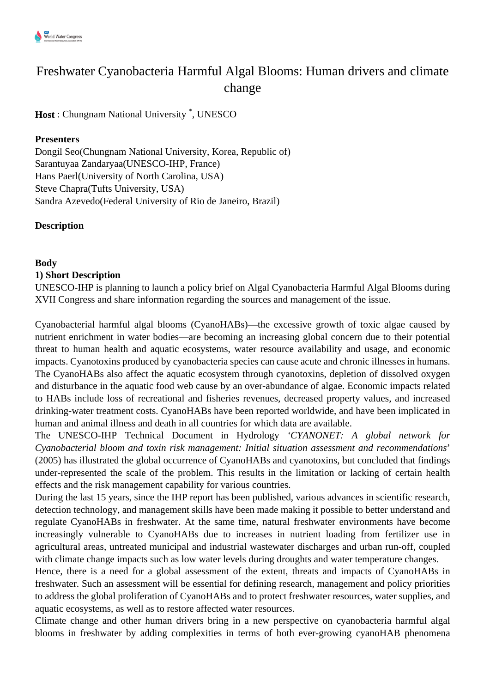

# Freshwater Cyanobacteria Harmful Algal Blooms: Human drivers and climate change

## **Host** : Chungnam National University \* , UNESCO

#### **Presenters**

Dongil Seo(Chungnam National University, Korea, Republic of) Sarantuyaa Zandaryaa(UNESCO-IHP, France) Hans Paerl(University of North Carolina, USA) Steve Chapra(Tufts University, USA) Sandra Azevedo(Federal University of Rio de Janeiro, Brazil)

#### **Description**

#### **Body**

#### **1) Short Description**

UNESCO-IHP is planning to launch a policy brief on Algal Cyanobacteria Harmful Algal Blooms during XVII Congress and share information regarding the sources and management of the issue.

Cyanobacterial harmful algal blooms (CyanoHABs)—the excessive growth of toxic algae caused by nutrient enrichment in water bodies—are becoming an increasing global concern due to their potential threat to human health and aquatic ecosystems, water resource availability and usage, and economic impacts. Cyanotoxins produced by cyanobacteria species can cause acute and chronic illnesses in humans. The CyanoHABs also affect the aquatic ecosystem through cyanotoxins, depletion of dissolved oxygen and disturbance in the aquatic food web cause by an over-abundance of algae. Economic impacts related to HABs include loss of recreational and fisheries revenues, decreased property values, and increased drinking-water treatment costs. CyanoHABs have been reported worldwide, and have been implicated in human and animal illness and death in all countries for which data are available.

The UNESCO-IHP Technical Document in Hydrology *'CYANONET: A global network for Cyanobacterial bloom and toxin risk management: Initial situation assessment and recommendations*' (2005) has illustrated the global occurrence of CyanoHABs and cyanotoxins, but concluded that findings under-represented the scale of the problem. This results in the limitation or lacking of certain health effects and the risk management capability for various countries.

During the last 15 years, since the IHP report has been published, various advances in scientific research, detection technology, and management skills have been made making it possible to better understand and regulate CyanoHABs in freshwater. At the same time, natural freshwater environments have become increasingly vulnerable to CyanoHABs due to increases in nutrient loading from fertilizer use in agricultural areas, untreated municipal and industrial wastewater discharges and urban run-off, coupled with climate change impacts such as low water levels during droughts and water temperature changes.

Hence, there is a need for a global assessment of the extent, threats and impacts of CyanoHABs in freshwater. Such an assessment will be essential for defining research, management and policy priorities to address the global proliferation of CyanoHABs and to protect freshwater resources, water supplies, and aquatic ecosystems, as well as to restore affected water resources.

Climate change and other human drivers bring in a new perspective on cyanobacteria harmful algal blooms in freshwater by adding complexities in terms of both ever-growing cyanoHAB phenomena